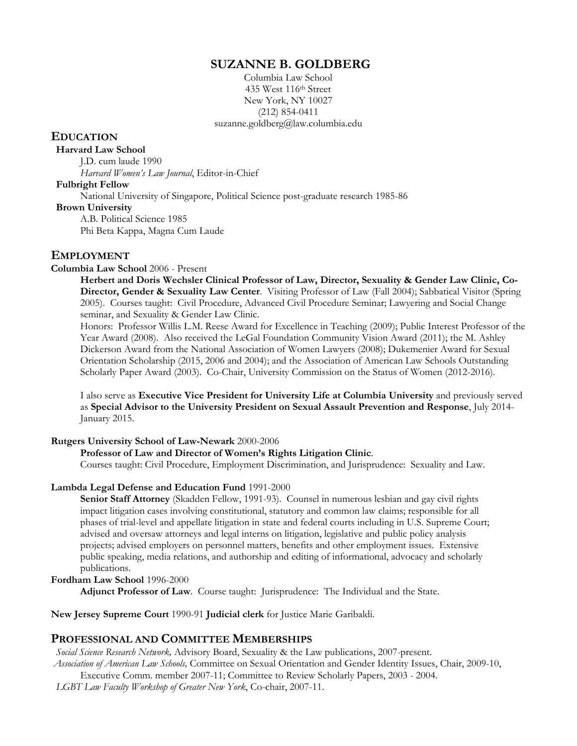## **SUZANNE B. GOLDBERG**

Columbia Law School 435 West 116th Street New York, NY 10027 (212) 854-0411 suzanne.goldberg@law.columbia.edu

## **EDUCATION**

#### **Harvard Law School**

J.D. cum laude 1990 *Harvard Women's Law Journal*, Editor-in-Chief

### **Fulbright Fellow**

National University of Singapore, Political Science post-graduate research 1985-86

 **Brown University**

A.B. Political Science 1985 Phi Beta Kappa, Magna Cum Laude

## **EMPLOYMENT**

## **Columbia Law School** 2006 - Present

**Herbert and Doris Wechsler Clinical Professor of Law, Director, Sexuality & Gender Law Clinic, Co-Director, Gender & Sexuality Law Center**. Visiting Professor of Law (Fall 2004); Sabbatical Visitor (Spring 2005). Courses taught: Civil Procedure, Advanced Civil Procedure Seminar; Lawyering and Social Change seminar, and Sexuality & Gender Law Clinic.

Honors: Professor Willis L.M. Reese Award for Excellence in Teaching (2009); Public Interest Professor of the Year Award (2008). Also received the LeGal Foundation Community Vision Award (2011); the M. Ashley Dickerson Award from the National Association of Women Lawyers (2008); Dukemenier Award for Sexual Orientation Scholarship (2015, 2006 and 2004); and the Association of American Law Schools Outstanding Scholarly Paper Award (2003). Co-Chair, University Commission on the Status of Women (2012-2016).

I also serve as **Executive Vice President for University Life at Columbia University** and previously served as **Special Advisor to the University President on Sexual Assault Prevention and Response**, July 2014- January 2015.

#### **Rutgers University School of Law-Newark** 2000-2006

#### **Professor of Law and Director of Women's Rights Litigation Clinic**.

Courses taught: Civil Procedure, Employment Discrimination, and Jurisprudence: Sexuality and Law.

#### **Lambda Legal Defense and Education Fund** 1991-2000

**Senior Staff Attorney** (Skadden Fellow, 1991-93). Counsel in numerous lesbian and gay civil rights impact litigation cases involving constitutional, statutory and common law claims; responsible for all phases of trial-level and appellate litigation in state and federal courts including in U.S. Supreme Court; advised and oversaw attorneys and legal interns on litigation, legislative and public policy analysis projects; advised employers on personnel matters, benefits and other employment issues. Extensive public speaking, media relations, and authorship and editing of informational, advocacy and scholarly publications.

#### **Fordham Law School** 1996-2000

**Adjunct Professor of Law**. Course taught: Jurisprudence: The Individual and the State.

**New Jersey Supreme Court** 1990-91 **Judicial clerk** for Justice Marie Garibaldi.

## **PROFESSIONAL AND COMMITTEE MEMBERSHIPS**

 *Social Science Research Network,* Advisory Board, Sexuality & the Law publications, 2007-present.

*Association of American Law Schools,* Committee on Sexual Orientation and Gender Identity Issues, Chair, 2009-10,

Executive Comm. member 2007-11; Committee to Review Scholarly Papers, 2003 - 2004.

 *LGBT Law Faculty Workshop of Greater New York*, Co-chair, 2007-11.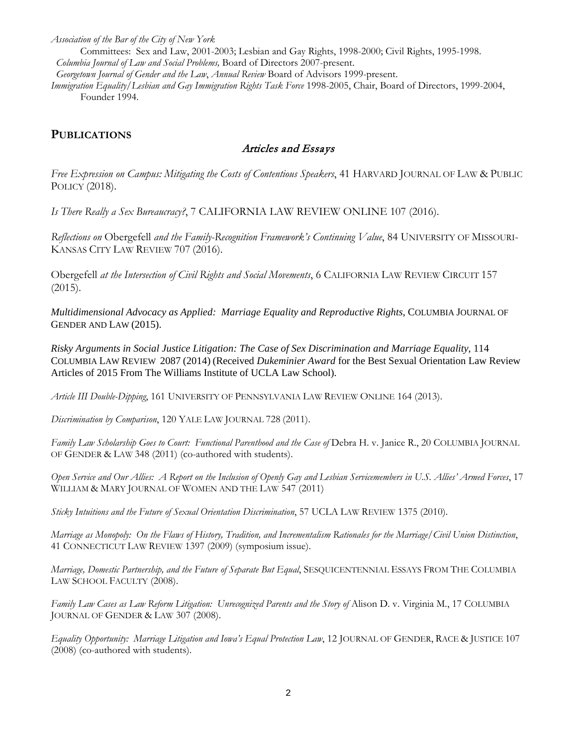*Association of the Bar of the City of New York*

Committees: Sex and Law, 2001-2003; Lesbian and Gay Rights, 1998-2000; Civil Rights, 1995-1998.  *Columbia Journal of Law and Social Problems,* Board of Directors 2007-present.

 *Georgetown Journal of Gender and the Law*, *Annual Review* Board of Advisors 1999-present.

*Immigration Equality/Lesbian and Gay Immigration Rights Task Force* 1998-2005, Chair, Board of Directors, 1999-2004, Founder 1994.

# **PUBLICATIONS**

# Articles and Essays

*Free Expression on Campus: Mitigating the Costs of Contentious Speakers*, 41 HARVARD JOURNAL OF LAW & PUBLIC POLICY (2018).

*Is There Really a Sex Bureaucracy?*, 7 CALIFORNIA LAW REVIEW ONLINE 107 (2016).

*Reflections on* Obergefell *and the Family-Recognition Framework's Continuing Value*, 84 UNIVERSITY OF MISSOURI-KANSAS CITY LAW REVIEW 707 (2016).

Obergefell *at the Intersection of Civil Rights and Social Movements*, 6 CALIFORNIA LAW REVIEW CIRCUIT 157 (2015).

*Multidimensional Advocacy as Applied: Marriage Equality and Reproductive Rights*, COLUMBIA JOURNAL OF GENDER AND LAW (2015).

*Risky Arguments in Social Justice Litigation: The Case of Sex Discrimination and Marriage Equality*, 114 COLUMBIA LAW REVIEW 2087 (2014) (Received *Dukeminier Award* for the Best Sexual Orientation Law Review Articles of 2015 From The Williams Institute of UCLA Law School).

*Article III Double-Dipping*, 161 UNIVERSITY OF PENNSYLVANIA LAW REVIEW ONLINE 164 (2013).

*Discrimination by Comparison*, 120 YALE LAW JOURNAL 728 (2011).

Family Law Scholarship Goes to Court: Functional Parenthood and the Case of Debra H. v. Janice R., 20 COLUMBIA JOURNAL OF GENDER & LAW 348 (2011) (co-authored with students).

*Open Service and Our Allies: A Report on the Inclusion of Openly Gay and Lesbian Servicemembers in U.S. Allies' Armed Forces*, 17 WILLIAM & MARY JOURNAL OF WOMEN AND THE LAW 547 (2011)

*Sticky Intuitions and the Future of Sexual Orientation Discrimination*, 57 UCLA LAW REVIEW 1375 (2010).

*Marriage as Monopoly: On the Flaws of History, Tradition, and Incrementalism Rationales for the Marriage/Civil Union Distinction*, 41 CONNECTICUT LAW REVIEW 1397 (2009) (symposium issue).

*Marriage, Domestic Partnership, and the Future of Separate But Equal*, SESQUICENTENNIAL ESSAYS FROM THE COLUMBIA LAW SCHOOL FACULTY (2008).

*Family Law Cases as Law Reform Litigation: Unrecognized Parents and the Story of Alison D. v. Virginia M., 17 COLUMBIA* JOURNAL OF GENDER & LAW 307 (2008).

*Equality Opportunity: Marriage Litigation and Iowa's Equal Protection Law*, 12 JOURNAL OF GENDER, RACE & JUSTICE 107 (2008) (co-authored with students).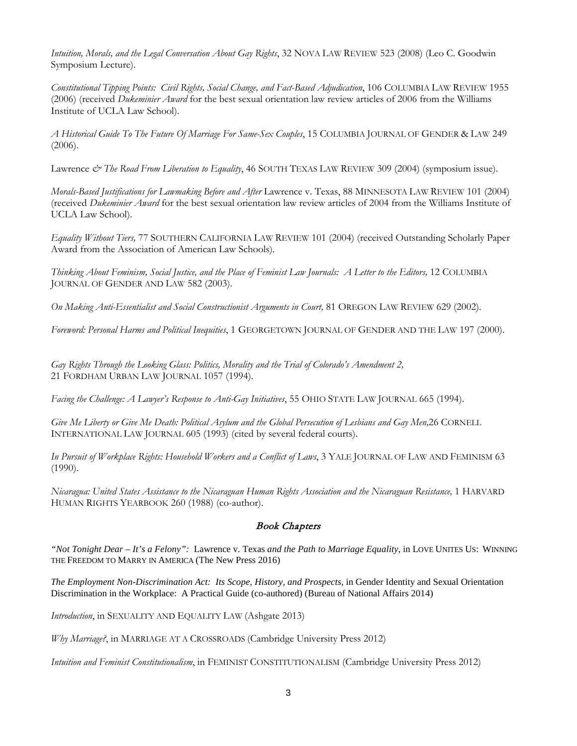*Intuition, Morals, and the Legal Conversation About Gay Rights*, 32 NOVA LAW REVIEW 523 (2008) (Leo C. Goodwin Symposium Lecture).

*Constitutional Tipping Points: Civil Rights, Social Change, and Fact-Based Adjudication*, 106 COLUMBIA LAW REVIEW 1955 (2006) (received *Dukeminier Award* for the best sexual orientation law review articles of 2006 from the Williams Institute of UCLA Law School).

*A Historical Guide To The Future Of Marriage For Same-Sex Couples*, 15 COLUMBIA JOURNAL OF GENDER & LAW 249 (2006).

Lawrence & The Road From Liberation to Equality, 46 SOUTH TEXAS LAW REVIEW 309 (2004) (symposium issue).

*Morals-Based Justifications for Lawmaking Before and After* Lawrence v. Texas, 88 MINNESOTA LAW REVIEW 101 (2004) (received *Dukeminier Award* for the best sexual orientation law review articles of 2004 from the Williams Institute of UCLA Law School).

*Equality Without Tiers,* 77 SOUTHERN CALIFORNIA LAW REVIEW 101 (2004) (received Outstanding Scholarly Paper Award from the Association of American Law Schools).

*Thinking About Feminism, Social Justice, and the Place of Feminist Law Journals: A Letter to the Editors,* 12 COLUMBIA JOURNAL OF GENDER AND LAW 582 (2003).

*On Making Anti-Essentialist and Social Constructionist Arguments in Court,* 81 OREGON LAW REVIEW 629 (2002).

*Foreword: Personal Harms and Political Inequities*, 1 GEORGETOWN JOURNAL OF GENDER AND THE LAW 197 (2000).

*Gay Rights Through the Looking Glass: Politics, Morality and the Trial of Colorado's Amendment 2,* 21 FORDHAM URBAN LAW JOURNAL 1057 (1994).

*Facing the Challenge: A Lawyer's Response to Anti-Gay Initiatives*, 55 OHIO STATE LAW JOURNAL 665 (1994).

*Give Me Liberty or Give Me Death: Political Asylum and the Global Persecution of Lesbians and Gay Men,*26 CORNELL INTERNATIONAL LAW JOURNAL 605 (1993) (cited by several federal courts).

*In Pursuit of Workplace Rights: Household Workers and a Conflict of Laws*, 3 YALE JOURNAL OF LAW AND FEMINISM 63 (1990).

*Nicaragua: United States Assistance to the Nicaraguan Human Rights Association and the Nicaraguan Resistance,* 1 HARVARD HUMAN RIGHTS YEARBOOK 260 (1988) (co-author).

## Book Chapters

*"Not Tonight Dear – It's a Felony":* Lawrence v. Texas *and the Path to Marriage Equality*, in LOVE UNITES US: WINNING THE FREEDOM TO MARRY IN AMERICA (The New Press 2016)

*The Employment Non-Discrimination Act: Its Scope, History, and Prospects,* in Gender Identity and Sexual Orientation Discrimination in the Workplace: A Practical Guide (co-authored) (Bureau of National Affairs 2014)

*Introduction*, in SEXUALITY AND EQUALITY LAW (Ashgate 2013)

*Why Marriage?*, in MARRIAGE AT A CROSSROADS (Cambridge University Press 2012)

*Intuition and Feminist Constitutionalism*, in FEMINIST CONSTITUTIONALISM (Cambridge University Press 2012)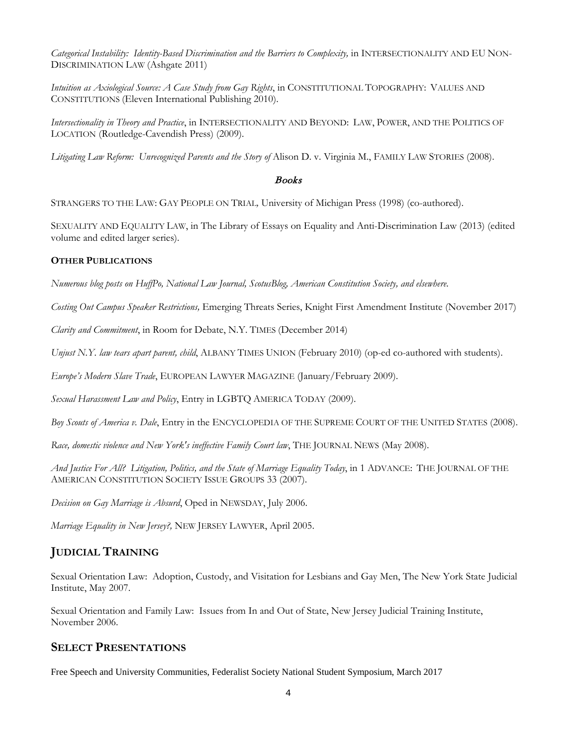Categorical Instability: Identity-Based Discrimination and the Barriers to Complexity, in INTERSECTIONALITY AND EU NON-DISCRIMINATION LAW (Ashgate 2011)

*Intuition as Axiological Source: A Case Study from Gay Rights*, in CONSTITUTIONAL TOPOGRAPHY: VALUES AND CONSTITUTIONS (Eleven International Publishing 2010).

*Intersectionality in Theory and Practice*, in INTERSECTIONALITY AND BEYOND: LAW, POWER, AND THE POLITICS OF LOCATION (Routledge-Cavendish Press) (2009).

Litigating Law Reform: Unrecognized Parents and the Story of Alison D. v. Virginia M., FAMILY LAW STORIES (2008).

### Books

STRANGERS TO THE LAW: GAY PEOPLE ON TRIAL*,* University of Michigan Press (1998) (co-authored).

SEXUALITY AND EQUALITY LAW, in The Library of Essays on Equality and Anti-Discrimination Law (2013) (edited volume and edited larger series).

### **OTHER PUBLICATIONS**

*Numerous blog posts on HuffPo, National Law Journal, ScotusBlog, American Constitution Society, and elsewhere.*

*Costing Out Campus Speaker Restrictions,* Emerging Threats Series, Knight First Amendment Institute (November 2017)

*Clarity and Commitment*, in Room for Debate, N.Y. TIMES (December 2014)

*Unjust N.Y. law tears apart parent, child*, ALBANY TIMES UNION (February 2010) (op-ed co-authored with students).

*Europe's Modern Slave Trade*, EUROPEAN LAWYER MAGAZINE (January/February 2009).

*Sexual Harassment Law and Policy*, Entry in LGBTQ AMERICA TODAY (2009).

*Boy Scouts of America v. Dale*, Entry in the ENCYCLOPEDIA OF THE SUPREME COURT OF THE UNITED STATES (2008).

*Race, domestic violence and New York's ineffective Family Court law*, THE JOURNAL NEWS (May 2008).

*And Justice For All? Litigation, Politics, and the State of Marriage Equality Today*, in 1 ADVANCE: THE JOURNAL OF THE AMERICAN CONSTITUTION SOCIETY ISSUE GROUPS 33 (2007).

*Decision on Gay Marriage is Absurd*, Oped in NEWSDAY, July 2006.

*Marriage Equality in New Jersey?,* NEW JERSEY LAWYER, April 2005.

# **JUDICIAL TRAINING**

Sexual Orientation Law: Adoption, Custody, and Visitation for Lesbians and Gay Men, The New York State Judicial Institute, May 2007.

Sexual Orientation and Family Law: Issues from In and Out of State, New Jersey Judicial Training Institute, November 2006.

## **SELECT PRESENTATIONS**

Free Speech and University Communities, Federalist Society National Student Symposium, March 2017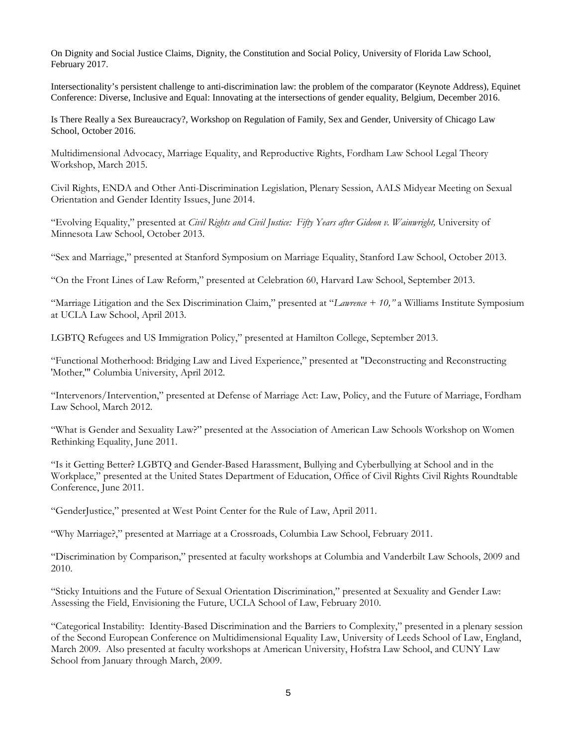On Dignity and Social Justice Claims, Dignity, the Constitution and Social Policy, University of Florida Law School, February 2017.

Intersectionality's persistent challenge to anti-discrimination law: the problem of the comparator (Keynote Address), Equinet Conference: Diverse, Inclusive and Equal: Innovating at the intersections of gender equality, Belgium, December 2016.

Is There Really a Sex Bureaucracy?, Workshop on Regulation of Family, Sex and Gender, University of Chicago Law School, October 2016.

Multidimensional Advocacy, Marriage Equality, and Reproductive Rights, Fordham Law School Legal Theory Workshop, March 2015.

Civil Rights, ENDA and Other Anti-Discrimination Legislation, Plenary Session, AALS Midyear Meeting on Sexual Orientation and Gender Identity Issues, June 2014.

"Evolving Equality," presented at *Civil Rights and Civil Justice: Fifty Years after Gideon v. Wainwright,* University of Minnesota Law School, October 2013.

"Sex and Marriage," presented at Stanford Symposium on Marriage Equality, Stanford Law School, October 2013.

"On the Front Lines of Law Reform," presented at Celebration 60, Harvard Law School, September 2013.

"Marriage Litigation and the Sex Discrimination Claim," presented at "*Lawrence + 10,"* a Williams Institute Symposium at UCLA Law School, April 2013.

LGBTQ Refugees and US Immigration Policy," presented at Hamilton College, September 2013.

"Functional Motherhood: Bridging Law and Lived Experience," presented at "Deconstructing and Reconstructing 'Mother,'" Columbia University, April 2012.

"Intervenors/Intervention," presented at Defense of Marriage Act: Law, Policy, and the Future of Marriage, Fordham Law School, March 2012.

"What is Gender and Sexuality Law?" presented at the Association of American Law Schools Workshop on Women Rethinking Equality, June 2011.

"Is it Getting Better? LGBTQ and Gender-Based Harassment, Bullying and Cyberbullying at School and in the Workplace," presented at the United States Department of Education, Office of Civil Rights Civil Rights Roundtable Conference, June 2011.

"GenderJustice," presented at West Point Center for the Rule of Law, April 2011.

"Why Marriage?," presented at Marriage at a Crossroads, Columbia Law School, February 2011.

"Discrimination by Comparison," presented at faculty workshops at Columbia and Vanderbilt Law Schools, 2009 and 2010.

"Sticky Intuitions and the Future of Sexual Orientation Discrimination," presented at Sexuality and Gender Law: Assessing the Field, Envisioning the Future, UCLA School of Law, February 2010.

"Categorical Instability: Identity-Based Discrimination and the Barriers to Complexity," presented in a plenary session of the Second European Conference on Multidimensional Equality Law, University of Leeds School of Law, England, March 2009. Also presented at faculty workshops at American University, Hofstra Law School, and CUNY Law School from January through March, 2009.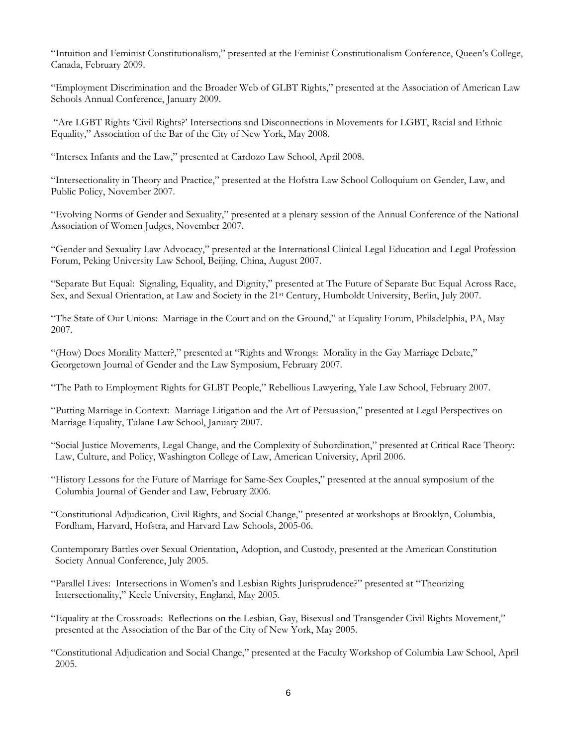"Intuition and Feminist Constitutionalism," presented at the Feminist Constitutionalism Conference, Queen's College, Canada, February 2009.

"Employment Discrimination and the Broader Web of GLBT Rights," presented at the Association of American Law Schools Annual Conference, January 2009.

"Are LGBT Rights 'Civil Rights?' Intersections and Disconnections in Movements for LGBT, Racial and Ethnic Equality," Association of the Bar of the City of New York, May 2008.

"Intersex Infants and the Law," presented at Cardozo Law School, April 2008.

"Intersectionality in Theory and Practice," presented at the Hofstra Law School Colloquium on Gender, Law, and Public Policy, November 2007.

"Evolving Norms of Gender and Sexuality," presented at a plenary session of the Annual Conference of the National Association of Women Judges, November 2007.

"Gender and Sexuality Law Advocacy," presented at the International Clinical Legal Education and Legal Profession Forum, Peking University Law School, Beijing, China, August 2007.

"Separate But Equal: Signaling, Equality, and Dignity," presented at The Future of Separate But Equal Across Race, Sex, and Sexual Orientation, at Law and Society in the 21st Century, Humboldt University, Berlin, July 2007.

"The State of Our Unions: Marriage in the Court and on the Ground," at Equality Forum, Philadelphia, PA, May 2007.

"(How) Does Morality Matter?," presented at "Rights and Wrongs: Morality in the Gay Marriage Debate," Georgetown Journal of Gender and the Law Symposium, February 2007.

"The Path to Employment Rights for GLBT People," Rebellious Lawyering, Yale Law School, February 2007.

"Putting Marriage in Context: Marriage Litigation and the Art of Persuasion," presented at Legal Perspectives on Marriage Equality, Tulane Law School, January 2007.

"Social Justice Movements, Legal Change, and the Complexity of Subordination," presented at Critical Race Theory: Law, Culture, and Policy, Washington College of Law, American University, April 2006.

- "History Lessons for the Future of Marriage for Same-Sex Couples," presented at the annual symposium of the Columbia Journal of Gender and Law, February 2006.
- "Constitutional Adjudication, Civil Rights, and Social Change," presented at workshops at Brooklyn, Columbia, Fordham, Harvard, Hofstra, and Harvard Law Schools, 2005-06.
- Contemporary Battles over Sexual Orientation, Adoption, and Custody, presented at the American Constitution Society Annual Conference, July 2005.
- "Parallel Lives: Intersections in Women's and Lesbian Rights Jurisprudence?" presented at "Theorizing Intersectionality," Keele University, England, May 2005.

"Equality at the Crossroads: Reflections on the Lesbian, Gay, Bisexual and Transgender Civil Rights Movement," presented at the Association of the Bar of the City of New York, May 2005.

"Constitutional Adjudication and Social Change," presented at the Faculty Workshop of Columbia Law School, April 2005.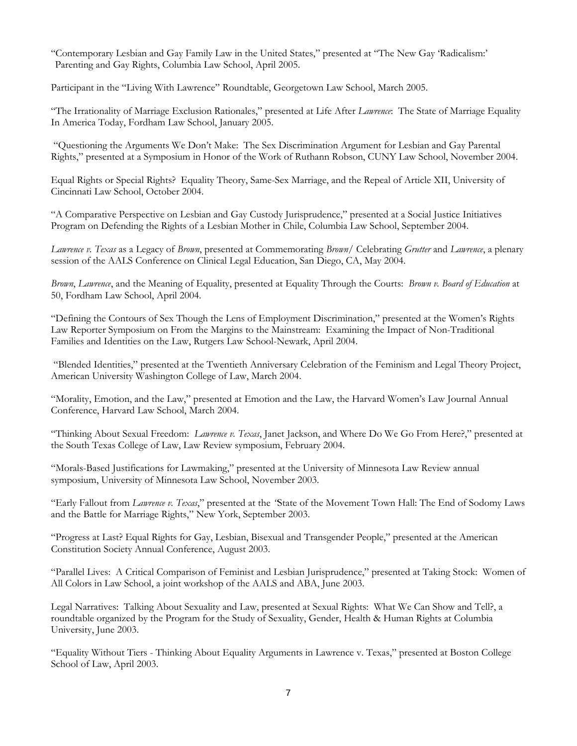"Contemporary Lesbian and Gay Family Law in the United States," presented at "The New Gay 'Radicalism:' Parenting and Gay Rights, Columbia Law School, April 2005.

Participant in the "Living With Lawrence" Roundtable, Georgetown Law School, March 2005.

"The Irrationality of Marriage Exclusion Rationales," presented at Life After *Lawrence*: The State of Marriage Equality In America Today, Fordham Law School, January 2005.

"Questioning the Arguments We Don't Make: The Sex Discrimination Argument for Lesbian and Gay Parental Rights," presented at a Symposium in Honor of the Work of Ruthann Robson, CUNY Law School, November 2004.

Equal Rights or Special Rights? Equality Theory, Same-Sex Marriage, and the Repeal of Article XII, University of Cincinnati Law School, October 2004.

"A Comparative Perspective on Lesbian and Gay Custody Jurisprudence," presented at a Social Justice Initiatives Program on Defending the Rights of a Lesbian Mother in Chile, Columbia Law School, September 2004.

*Lawrence v. Texas* as a Legacy of *Brown*, presented at Commemorating *Brown*/ Celebrating *Grutter* and *Lawrence*, a plenary session of the AALS Conference on Clinical Legal Education, San Diego, CA, May 2004.

*Brown*, *Lawrence*, and the Meaning of Equality, presented at Equality Through the Courts: *Brown v. Board of Education* at 50, Fordham Law School, April 2004.

"Defining the Contours of Sex Though the Lens of Employment Discrimination," presented at the Women's Rights Law Reporter Symposium on From the Margins to the Mainstream: Examining the Impact of Non-Traditional Families and Identities on the Law, Rutgers Law School-Newark, April 2004.

"Blended Identities," presented at the Twentieth Anniversary Celebration of the Feminism and Legal Theory Project, American University Washington College of Law, March 2004.

"Morality, Emotion, and the Law," presented at Emotion and the Law, the Harvard Women's Law Journal Annual Conference, Harvard Law School, March 2004.

"Thinking About Sexual Freedom: *Lawrence v. Texas*, Janet Jackson, and Where Do We Go From Here?," presented at the South Texas College of Law, Law Review symposium, February 2004.

"Morals-Based Justifications for Lawmaking," presented at the University of Minnesota Law Review annual symposium, University of Minnesota Law School, November 2003.

"Early Fallout from *Lawrence v. Texas*," presented at the *"*State of the Movement Town Hall: The End of Sodomy Laws and the Battle for Marriage Rights," New York, September 2003.

"Progress at Last? Equal Rights for Gay, Lesbian, Bisexual and Transgender People," presented at the American Constitution Society Annual Conference, August 2003.

"Parallel Lives: A Critical Comparison of Feminist and Lesbian Jurisprudence," presented at Taking Stock: Women of All Colors in Law School, a joint workshop of the AALS and ABA, June 2003.

Legal Narratives: Talking About Sexuality and Law, presented at Sexual Rights: What We Can Show and Tell?, a roundtable organized by the Program for the Study of Sexuality, Gender, Health & Human Rights at Columbia University, June 2003.

"Equality Without Tiers - Thinking About Equality Arguments in Lawrence v. Texas," presented at Boston College School of Law, April 2003.